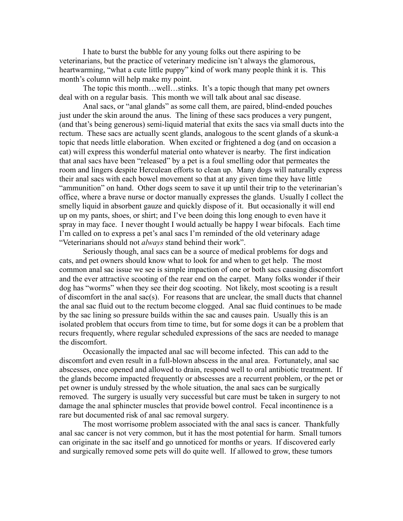I hate to burst the bubble for any young folks out there aspiring to be veterinarians, but the practice of veterinary medicine isn't always the glamorous, heartwarming, "what a cute little puppy" kind of work many people think it is. This month's column will help make my point.

The topic this month…well…stinks. It's a topic though that many pet owners deal with on a regular basis. This month we will talk about anal sac disease.

Anal sacs, or "anal glands" as some call them, are paired, blind-ended pouches just under the skin around the anus. The lining of these sacs produces a very pungent, (and that's being generous) semi-liquid material that exits the sacs via small ducts into the rectum. These sacs are actually scent glands, analogous to the scent glands of a skunk-a topic that needs little elaboration. When excited or frightened a dog (and on occasion a cat) will express this wonderful material onto whatever is nearby. The first indication that anal sacs have been "released" by a pet is a foul smelling odor that permeates the room and lingers despite Herculean efforts to clean up. Many dogs will naturally express their anal sacs with each bowel movement so that at any given time they have little "ammunition" on hand. Other dogs seem to save it up until their trip to the veterinarian's office, where a brave nurse or doctor manually expresses the glands. Usually I collect the smelly liquid in absorbent gauze and quickly dispose of it. But occasionally it will end up on my pants, shoes, or shirt; and I've been doing this long enough to even have it spray in may face. I never thought I would actually be happy I wear bifocals. Each time I'm called on to express a pet's anal sacs I'm reminded of the old veterinary adage "Veterinarians should not *always* stand behind their work".

Seriously though, anal sacs can be a source of medical problems for dogs and cats, and pet owners should know what to look for and when to get help. The most common anal sac issue we see is simple impaction of one or both sacs causing discomfort and the ever attractive scooting of the rear end on the carpet. Many folks wonder if their dog has "worms" when they see their dog scooting. Not likely, most scooting is a result of discomfort in the anal sac(s). For reasons that are unclear, the small ducts that channel the anal sac fluid out to the rectum become clogged. Anal sac fluid continues to be made by the sac lining so pressure builds within the sac and causes pain. Usually this is an isolated problem that occurs from time to time, but for some dogs it can be a problem that recurs frequently, where regular scheduled expressions of the sacs are needed to manage the discomfort.

Occasionally the impacted anal sac will become infected. This can add to the discomfort and even result in a full-blown abscess in the anal area. Fortunately, anal sac abscesses, once opened and allowed to drain, respond well to oral antibiotic treatment. If the glands become impacted frequently or abscesses are a recurrent problem, or the pet or pet owner is unduly stressed by the whole situation, the anal sacs can be surgically removed. The surgery is usually very successful but care must be taken in surgery to not damage the anal sphincter muscles that provide bowel control. Fecal incontinence is a rare but documented risk of anal sac removal surgery.

The most worrisome problem associated with the anal sacs is cancer. Thankfully anal sac cancer is not very common, but it has the most potential for harm. Small tumors can originate in the sac itself and go unnoticed for months or years. If discovered early and surgically removed some pets will do quite well. If allowed to grow, these tumors